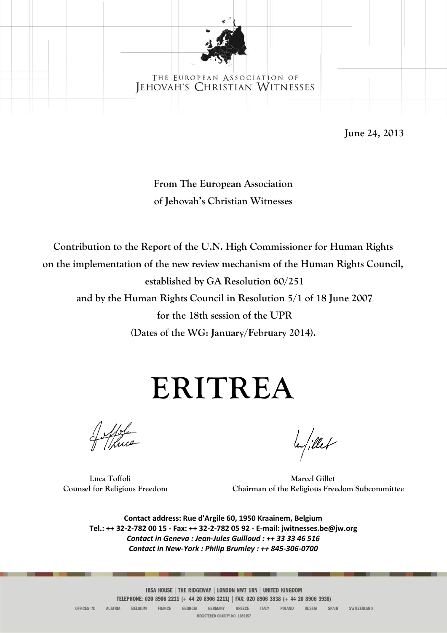

# THE EUROPEAN ASSOCIATION OF JEHOVAH'S CHRISTIAN WITNESSES

**June 24, 2013**

# **From The European Association of Jehovah's Christian Witnesses**

**Contribution to the Report of the U.N. High Commissioner for Human Rights on the implementation of the new review mechanism of the Human Rights Council, established by GA Resolution 60/251**

**and by the Human Rights Council in Resolution 5/1 of 18 June 2007 for the 18th session of the UPR**

**(Dates of the WG: January/February 2014).**

# **ERITREA**

Mole

la/illet

**Luca Toffoli Marcel Gillet Counsel for Religious Freedom Chairman of the Religious Freedom Subcommittee**

**Contact address: Rue d'Argile 60, 1950 Kraainem, Belgium Tel.: ++ 32-2-782 00 15 - Fax: ++ 32-2-782 05 92 - E-mail: jwitnesses.be@jw.org** *Contact in Geneva : Jean-Jules Guilloud : ++ 33 33 46 516 Contact in New-York : Philip Brumley : ++ 845-306-0700*

IBSA HOUSE | THE RIDGEWAY | LONDON NW7 1RN | UNITED KINGDOM TELEPHONE: 020 8906 2211 (+ 44 20 8906 2211) | FAX: 020 8906 3938 (+ 44 20 8906 3938) GREECE RUSSIA SPAIN

OFFICES IN: **AUSTRIA** BELGIUM FRANCE GEORGIA **GERMANY ITALY** POLAND SWITZERLAND REGISTERED CHARITY NO. 1085157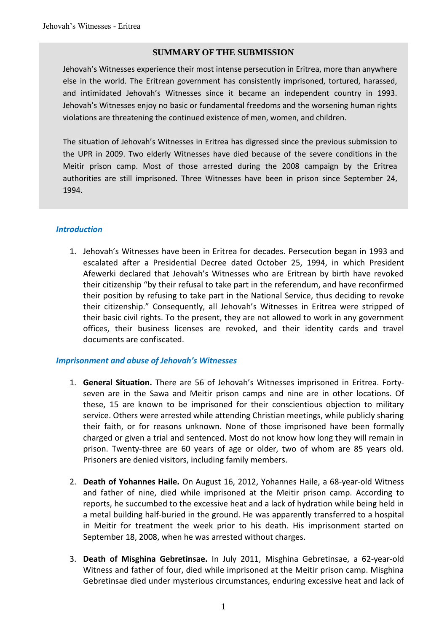#### **SUMMARY OF THE SUBMISSION**

Jehovah's Witnesses experience their most intense persecution in Eritrea, more than anywhere else in the world. The Eritrean government has consistently imprisoned, tortured, harassed, and intimidated Jehovah's Witnesses since it became an independent country in 1993. Jehovah's Witnesses enjoy no basic or fundamental freedoms and the worsening human rights violations are threatening the continued existence of men, women, and children.

The situation of Jehovah's Witnesses in Eritrea has digressed since the previous submission to the UPR in 2009. Two elderly Witnesses have died because of the severe conditions in the Meitir prison camp. Most of those arrested during the 2008 campaign by the Eritrea authorities are still imprisoned. Three Witnesses have been in prison since September 24, 1994.

#### *Introduction*

1. Jehovah's Witnesses have been in Eritrea for decades. Persecution began in 1993 and escalated after a Presidential Decree dated October 25, 1994, in which President Afewerki declared that Jehovah's Witnesses who are Eritrean by birth have revoked their citizenship "by their refusal to take part in the referendum, and have reconfirmed their position by refusing to take part in the National Service, thus deciding to revoke their citizenship." Consequently, all Jehovah's Witnesses in Eritrea were stripped of their basic civil rights. To the present, they are not allowed to work in any government offices, their business licenses are revoked, and their identity cards and travel documents are confiscated.

#### *Imprisonment and abuse of Jehovah's Witnesses*

- 1. **General Situation.** There are 56 of Jehovah's Witnesses imprisoned in Eritrea. Fortyseven are in the Sawa and Meitir prison camps and nine are in other locations. Of these, 15 are known to be imprisoned for their conscientious objection to military service. Others were arrested while attending Christian meetings, while publicly sharing their faith, or for reasons unknown. None of those imprisoned have been formally charged or given a trial and sentenced. Most do not know how long they will remain in prison. Twenty-three are 60 years of age or older, two of whom are 85 years old. Prisoners are denied visitors, including family members.
- 2. **Death of Yohannes Haile.** On August 16, 2012, Yohannes Haile, a 68-year-old Witness and father of nine, died while imprisoned at the Meitir prison camp. According to reports, he succumbed to the excessive heat and a lack of hydration while being held in a metal building half-buried in the ground. He was apparently transferred to a hospital in Meitir for treatment the week prior to his death. His imprisonment started on September 18, 2008, when he was arrested without charges.
- 3. **Death of Misghina Gebretinsae.** In July 2011, Misghina Gebretinsae, a 62-year-old Witness and father of four, died while imprisoned at the Meitir prison camp. Misghina Gebretinsae died under mysterious circumstances, enduring excessive heat and lack of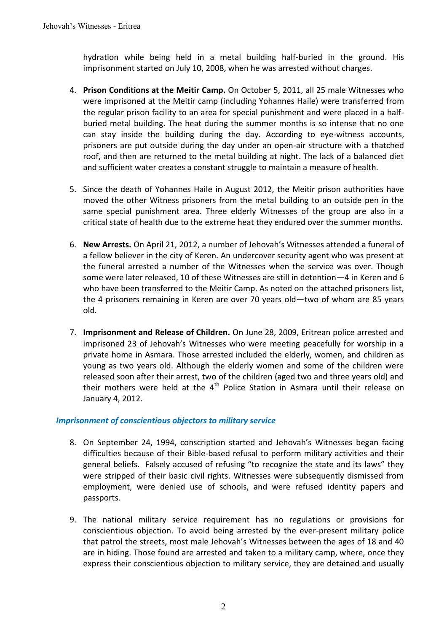hydration while being held in a metal building half-buried in the ground. His imprisonment started on July 10, 2008, when he was arrested without charges.

- 4. **Prison Conditions at the Meitir Camp.** On October 5, 2011, all 25 male Witnesses who were imprisoned at the Meitir camp (including Yohannes Haile) were transferred from the regular prison facility to an area for special punishment and were placed in a halfburied metal building. The heat during the summer months is so intense that no one can stay inside the building during the day. According to eye-witness accounts, prisoners are put outside during the day under an open-air structure with a thatched roof, and then are returned to the metal building at night. The lack of a balanced diet and sufficient water creates a constant struggle to maintain a measure of health.
- 5. Since the death of Yohannes Haile in August 2012, the Meitir prison authorities have moved the other Witness prisoners from the metal building to an outside pen in the same special punishment area. Three elderly Witnesses of the group are also in a critical state of health due to the extreme heat they endured over the summer months.
- 6. **New Arrests.** On April 21, 2012, a number of Jehovah's Witnesses attended a funeral of a fellow believer in the city of Keren. An undercover security agent who was present at the funeral arrested a number of the Witnesses when the service was over. Though some were later released, 10 of these Witnesses are still in detention—4 in Keren and 6 who have been transferred to the Meitir Camp. As noted on the attached prisoners list, the 4 prisoners remaining in Keren are over 70 years old—two of whom are 85 years old.
- 7. **Imprisonment and Release of Children.** On June 28, 2009, Eritrean police arrested and imprisoned 23 of Jehovah's Witnesses who were meeting peacefully for worship in a private home in Asmara. Those arrested included the elderly, women, and children as young as two years old. Although the elderly women and some of the children were released soon after their arrest, two of the children (aged two and three years old) and their mothers were held at the  $4<sup>th</sup>$  Police Station in Asmara until their release on January 4, 2012.

#### *Imprisonment of conscientious objectors to military service*

- 8. On September 24, 1994, conscription started and Jehovah's Witnesses began facing difficulties because of their Bible-based refusal to perform military activities and their general beliefs. Falsely accused of refusing "to recognize the state and its laws" they were stripped of their basic civil rights. Witnesses were subsequently dismissed from employment, were denied use of schools, and were refused identity papers and passports.
- 9. The national military service requirement has no regulations or provisions for conscientious objection. To avoid being arrested by the ever-present military police that patrol the streets, most male Jehovah's Witnesses between the ages of 18 and 40 are in hiding. Those found are arrested and taken to a military camp, where, once they express their conscientious objection to military service, they are detained and usually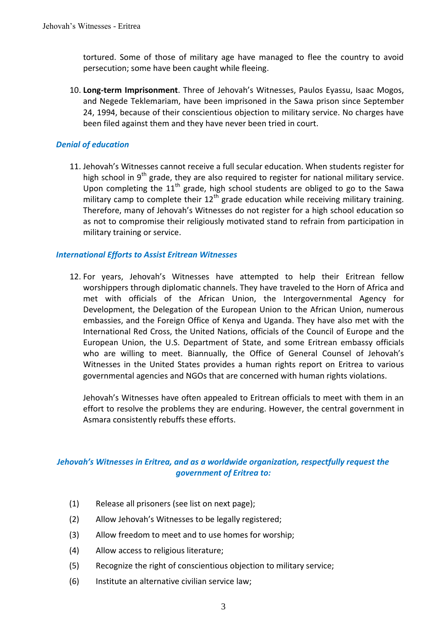tortured. Some of those of military age have managed to flee the country to avoid persecution; some have been caught while fleeing.

10. **Long-term Imprisonment**. Three of Jehovah's Witnesses, Paulos Eyassu, Isaac Mogos, and Negede Teklemariam, have been imprisoned in the Sawa prison since September 24, 1994, because of their conscientious objection to military service. No charges have been filed against them and they have never been tried in court.

### *Denial of education*

11. Jehovah's Witnesses cannot receive a full secular education. When students register for high school in  $9<sup>th</sup>$  grade, they are also required to register for national military service. Upon completing the  $11<sup>th</sup>$  grade, high school students are obliged to go to the Sawa military camp to complete their  $12<sup>th</sup>$  grade education while receiving military training. Therefore, many of Jehovah's Witnesses do not register for a high school education so as not to compromise their religiously motivated stand to refrain from participation in military training or service.

#### *International Efforts to Assist Eritrean Witnesses*

12. For years, Jehovah's Witnesses have attempted to help their Eritrean fellow worshippers through diplomatic channels. They have traveled to the Horn of Africa and met with officials of the African Union, the Intergovernmental Agency for Development, the Delegation of the European Union to the African Union, numerous embassies, and the Foreign Office of Kenya and Uganda. They have also met with the International Red Cross, the United Nations, officials of the Council of Europe and the European Union, the U.S. Department of State, and some Eritrean embassy officials who are willing to meet. Biannually, the Office of General Counsel of Jehovah's Witnesses in the United States provides a human rights report on Eritrea to various governmental agencies and NGOs that are concerned with human rights violations.

Jehovah's Witnesses have often appealed to Eritrean officials to meet with them in an effort to resolve the problems they are enduring. However, the central government in Asmara consistently rebuffs these efforts.

## *Jehovah's Witnesses in Eritrea, and as a worldwide organization, respectfully request the government of Eritrea to:*

- (1) Release all prisoners (see list on next page);
- (2) Allow Jehovah's Witnesses to be legally registered;
- (3) Allow freedom to meet and to use homes for worship;
- (4) Allow access to religious literature;
- (5) Recognize the right of conscientious objection to military service;
- (6) Institute an alternative civilian service law;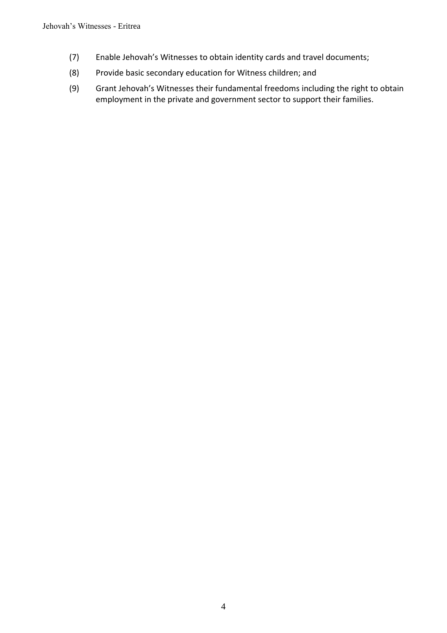- (7) Enable Jehovah's Witnesses to obtain identity cards and travel documents;
- (8) Provide basic secondary education for Witness children; and
- (9) Grant Jehovah's Witnesses their fundamental freedoms including the right to obtain employment in the private and government sector to support their families.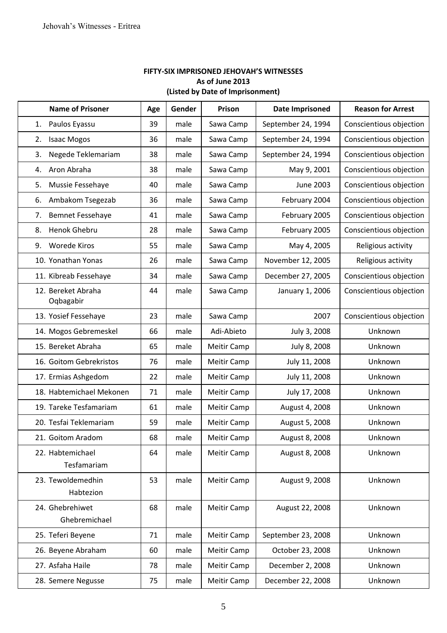#### **FIFTY-SIX IMPRISONED JEHOVAH'S WITNESSES As of June 2013 (Listed by Date of Imprisonment)**

| <b>Name of Prisoner</b>          | Age | Gender | Prison      | <b>Date Imprisoned</b> | <b>Reason for Arrest</b> |
|----------------------------------|-----|--------|-------------|------------------------|--------------------------|
| Paulos Eyassu<br>1.              | 39  | male   | Sawa Camp   | September 24, 1994     | Conscientious objection  |
| <b>Isaac Mogos</b><br>2.         | 36  | male   | Sawa Camp   | September 24, 1994     | Conscientious objection  |
| Negede Teklemariam<br>3.         | 38  | male   | Sawa Camp   | September 24, 1994     | Conscientious objection  |
| Aron Abraha<br>4.                | 38  | male   | Sawa Camp   | May 9, 2001            | Conscientious objection  |
| 5.<br>Mussie Fessehaye           | 40  | male   | Sawa Camp   | June 2003              | Conscientious objection  |
| Ambakom Tsegezab<br>6.           | 36  | male   | Sawa Camp   | February 2004          | Conscientious objection  |
| <b>Bemnet Fessehaye</b><br>7.    | 41  | male   | Sawa Camp   | February 2005          | Conscientious objection  |
| Henok Ghebru<br>8.               | 28  | male   | Sawa Camp   | February 2005          | Conscientious objection  |
| 9. Worede Kiros                  | 55  | male   | Sawa Camp   | May 4, 2005            | Religious activity       |
| 10. Yonathan Yonas               | 26  | male   | Sawa Camp   | November 12, 2005      | Religious activity       |
| 11. Kibreab Fessehaye            | 34  | male   | Sawa Camp   | December 27, 2005      | Conscientious objection  |
| 12. Bereket Abraha<br>Oqbagabir  | 44  | male   | Sawa Camp   | January 1, 2006        | Conscientious objection  |
| 13. Yosief Fessehaye             | 23  | male   | Sawa Camp   | 2007                   | Conscientious objection  |
| 14. Mogos Gebremeskel            | 66  | male   | Adi-Abieto  | July 3, 2008           | Unknown                  |
| 15. Bereket Abraha               | 65  | male   | Meitir Camp | July 8, 2008           | Unknown                  |
| 16. Goitom Gebrekristos          | 76  | male   | Meitir Camp | July 11, 2008          | Unknown                  |
| 17. Ermias Ashgedom              | 22  | male   | Meitir Camp | July 11, 2008          | Unknown                  |
| 18. Habtemichael Mekonen         | 71  | male   | Meitir Camp | July 17, 2008          | Unknown                  |
| 19. Tareke Tesfamariam           | 61  | male   | Meitir Camp | August 4, 2008         | Unknown                  |
| 20. Tesfai Teklemariam           | 59  | male   | Meitir Camp | August 5, 2008         | Unknown                  |
| 21. Goitom Aradom                | 68  | male   | Meitir Camp | August 8, 2008         | Unknown                  |
| 22. Habtemichael<br>Tesfamariam  | 64  | male   | Meitir Camp | August 8, 2008         | Unknown                  |
| 23. Tewoldemedhin<br>Habtezion   | 53  | male   | Meitir Camp | August 9, 2008         | Unknown                  |
| 24. Ghebrehiwet<br>Ghebremichael | 68  | male   | Meitir Camp | August 22, 2008        | Unknown                  |
| 25. Teferi Beyene                | 71  | male   | Meitir Camp | September 23, 2008     | Unknown                  |
| 26. Beyene Abraham               | 60  | male   | Meitir Camp | October 23, 2008       | Unknown                  |
| 27. Asfaha Haile                 | 78  | male   | Meitir Camp | December 2, 2008       | Unknown                  |
| 28. Semere Negusse               | 75  | male   | Meitir Camp | December 22, 2008      | Unknown                  |